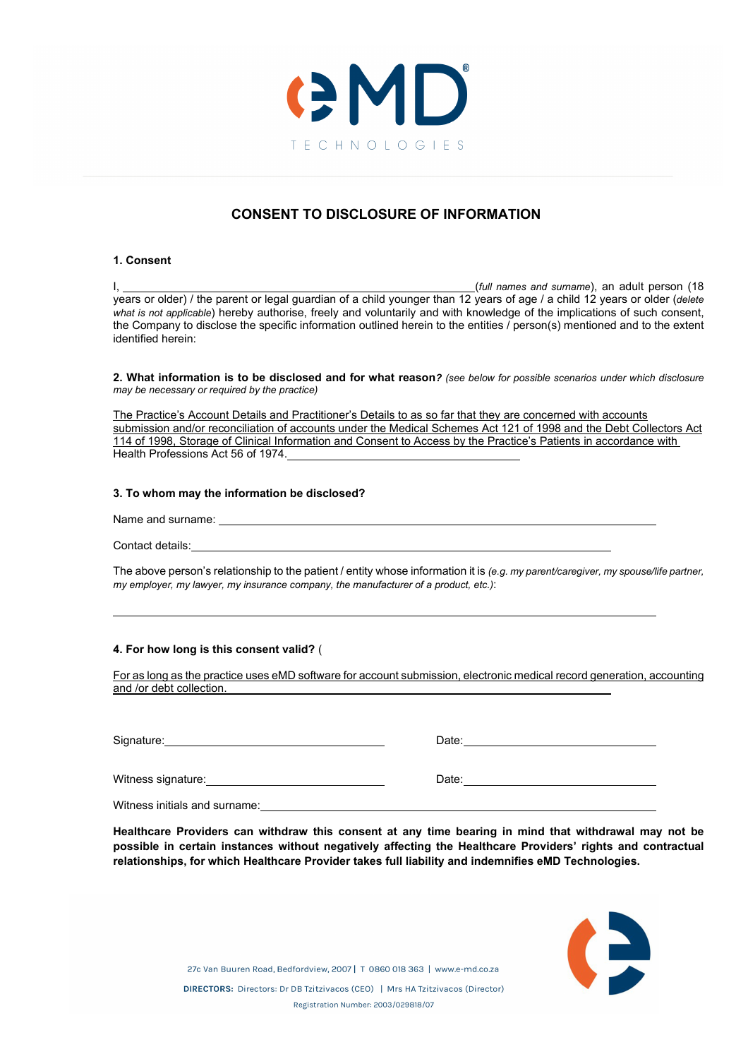

# **CONSENT TO DISCLOSURE OF INFORMATION**

### **1. Consent**

I, (*full names and surname*), an adult person (18 years or older) / the parent or legal guardian of a child younger than 12 years of age / a child 12 years or older (*delete what is not applicable*) hereby authorise, freely and voluntarily and with knowledge of the implications of such consent, the Company to disclose the specific information outlined herein to the entities / person(s) mentioned and to the extent identified herein:

**2. What information is to be disclosed and for what reason***? (see below for possible scenarios under which disclosure may be necessary or required by the practice)*

The Practice's Account Details and Practitioner's Details to as so far that they are concerned with accounts submission and/or reconciliation of accounts under the Medical Schemes Act 121 of 1998 and the Debt Collectors Act 114 of 1998, Storage of Clinical Information and Consent to Access by the Practice's Patients in accordance with Health Professions Act 56 of 1974.

## **3. To whom may the information be disclosed?**

Name and surname:

Contact details:

The above person's relationship to the patient / entity whose information it is *(e.g. my parent/caregiver, my spouse/life partner, my employer, my lawyer, my insurance company, the manufacturer of a product, etc.)*:

### **4. For how long is this consent valid?** (

For as long as the practice uses eMD software for account submission, electronic medical record generation, accounting and /or debt collection.

| Signature:                    | Date: |
|-------------------------------|-------|
|                               |       |
| Witness signature:            | Date: |
| Witness initials and surname: |       |

**Healthcare Providers can withdraw this consent at any time bearing in mind that withdrawal may not be possible in certain instances without negatively affecting the Healthcare Providers' rights and contractual relationships, for which Healthcare Provider takes full liability and indemnifies eMD Technologies.**



27c Van Buuren Road, Bedfordview, 2007 | T 0860 018 363 | www.e-md.co.za DIRECTORS: Directors: Dr DB Tzitzivacos (CEO) | Mrs HA Tzitzivacos (Director) Registration Number: 2003/029818/07